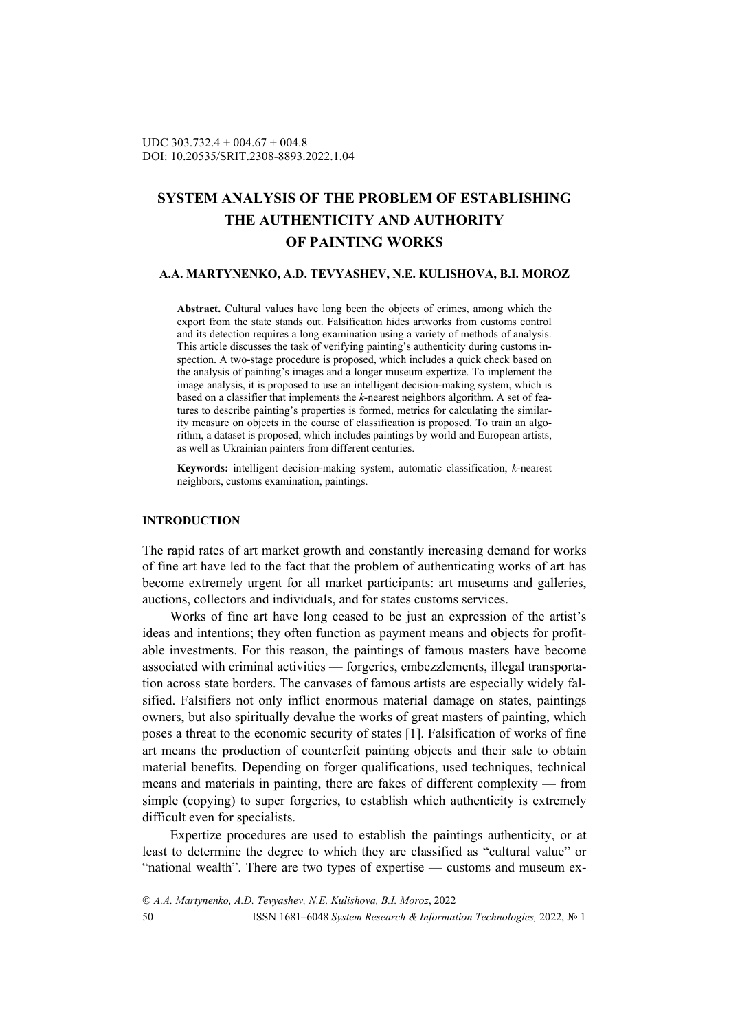# **SYSTEM ANALYSIS OF THE PROBLEM OF ESTABLISHING THE AUTHENTICITY AND AUTHORITY OF PAINTING WORKS**

### **A.A. MARTYNENKO, A.D. TEVYASHEV, N.E. KULISHOVA, B.I. MOROZ**

**Abstract.** Cultural values have long been the objects of crimes, among which the export from the state stands out. Falsification hides artworks from customs control and its detection requires a long examination using a variety of methods of analysis. This article discusses the task of verifying painting's authenticity during customs inspection. A two-stage procedure is proposed, which includes a quick check based on the analysis of painting's images and a longer museum expertize. To implement the image analysis, it is proposed to use an intelligent decision-making system, which is based on a classifier that implements the *k*-nearest neighbors algorithm. A set of features to describe painting's properties is formed, metrics for calculating the similarity measure on objects in the course of classification is proposed. To train an algorithm, a dataset is proposed, which includes paintings by world and European artists, as well as Ukrainian painters from different centuries.

**Keywords:** intelligent decision-making system, automatic classification, *k*-nearest neighbors, customs examination, paintings.

## **INTRODUCTION**

The rapid rates of art market growth and constantly increasing demand for works of fine art have led to the fact that the problem of authenticating works of art has become extremely urgent for all market participants: art museums and galleries, auctions, collectors and individuals, and for states customs services.

Works of fine art have long ceased to be just an expression of the artist's ideas and intentions; they often function as payment means and objects for profitable investments. For this reason, the paintings of famous masters have become associated with criminal activities — forgeries, embezzlements, illegal transportation across state borders. The canvases of famous artists are especially widely falsified. Falsifiers not only inflict enormous material damage on states, paintings owners, but also spiritually devalue the works of great masters of painting, which poses a threat to the economic security of states [1]. Falsification of works of fine art means the production of counterfeit painting objects and their sale to obtain material benefits. Depending on forger qualifications, used techniques, technical means and materials in painting, there are fakes of different complexity — from simple (copying) to super forgeries, to establish which authenticity is extremely difficult even for specialists.

Expertize procedures are used to establish the paintings authenticity, or at least to determine the degree to which they are classified as "cultural value" or "national wealth". There are two types of expertise — customs and museum ex-

 *A.A. Martynenko, A.D. Tevyashev, N.E. Kulishova, B.I. Moroz*, 2022 50 ISSN 1681–6048 *System Research & Information Technologies,* 2022, № 1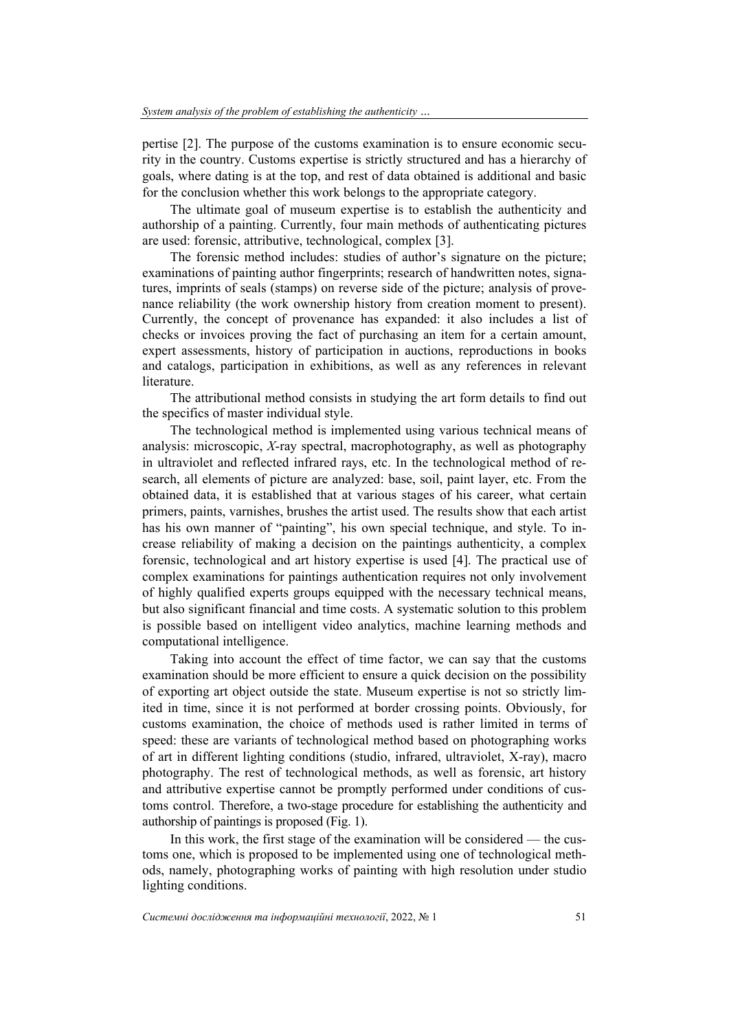pertise [2]. The purpose of the customs examination is to ensure economic security in the country. Customs expertise is strictly structured and has a hierarchy of goals, where dating is at the top, and rest of data obtained is additional and basic for the conclusion whether this work belongs to the appropriate category.

The ultimate goal of museum expertise is to establish the authenticity and authorship of a painting. Currently, four main methods of authenticating pictures are used: forensic, attributive, technological, complex [3].

The forensic method includes: studies of author's signature on the picture; examinations of painting author fingerprints; research of handwritten notes, signatures, imprints of seals (stamps) on reverse side of the picture; analysis of provenance reliability (the work ownership history from creation moment to present). Currently, the concept of provenance has expanded: it also includes a list of checks or invoices proving the fact of purchasing an item for a certain amount, expert assessments, history of participation in auctions, reproductions in books and catalogs, participation in exhibitions, as well as any references in relevant literature.

The attributional method consists in studying the art form details to find out the specifics of master individual style.

The technological method is implemented using various technical means of analysis: microscopic, *X*-ray spectral, macrophotography, as well as photography in ultraviolet and reflected infrared rays, etc. In the technological method of research, all elements of picture are analyzed: base, soil, paint layer, etc. From the obtained data, it is established that at various stages of his career, what certain primers, paints, varnishes, brushes the artist used. The results show that each artist has his own manner of "painting", his own special technique, and style. To increase reliability of making a decision on the paintings authenticity, a complex forensic, technological and art history expertise is used [4]. The practical use of complex examinations for paintings authentication requires not only involvement of highly qualified experts groups equipped with the necessary technical means, but also significant financial and time costs. A systematic solution to this problem is possible based on intelligent video analytics, machine learning methods and computational intelligence.

Taking into account the effect of time factor, we can say that the customs examination should be more efficient to ensure a quick decision on the possibility of exporting art object outside the state. Museum expertise is not so strictly limited in time, since it is not performed at border crossing points. Obviously, for customs examination, the choice of methods used is rather limited in terms of speed: these are variants of technological method based on photographing works of art in different lighting conditions (studio, infrared, ultraviolet, X-ray), macro photography. The rest of technological methods, as well as forensic, art history and attributive expertise cannot be promptly performed under conditions of customs control. Therefore, a two-stage procedure for establishing the authenticity and authorship of paintings is proposed (Fig. 1).

In this work, the first stage of the examination will be considered — the customs one, which is proposed to be implemented using one of technological methods, namely, photographing works of painting with high resolution under studio lighting conditions.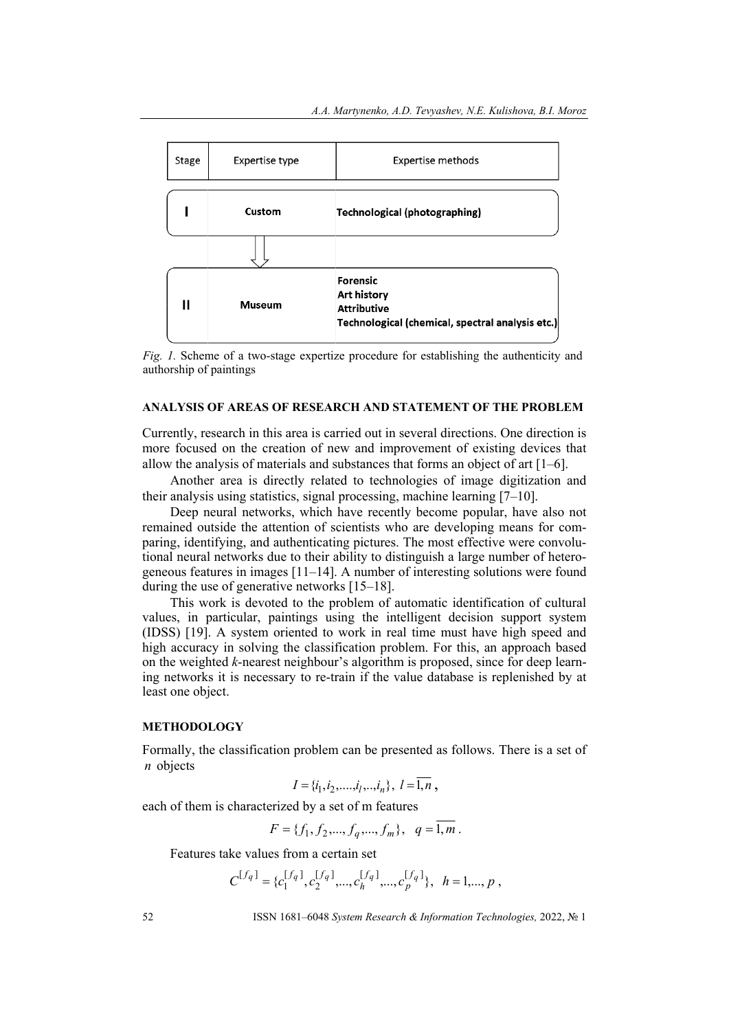



#### **ANALYSIS OF AREAS OF RESEARCH AND STATEMENT OF THE PROBLEM**

Currently, research in this area is carried out in several directions. One direction is more focused on the creation of new and improvement of existing devices that allow the analysis of materials and substances that forms an object of art [1–6].

Another area is directly related to technologies of image digitization and their analysis using statistics, signal processing, machine learning [7–10].

Deep neural networks, which have recently become popular, have also not remained outside the attention of scientists who are developing means for comparing, identifying, and authenticating pictures. The most effective were convolutional neural networks due to their ability to distinguish a large number of heterogeneous features in images [11–14]. A number of interesting solutions were found during the use of generative networks [15–18].

This work is devoted to the problem of automatic identification of cultural values, in particular, paintings using the intelligent decision support system (IDSS) [19]. A system oriented to work in real time must have high speed and high accuracy in solving the classification problem. For this, an approach based on the weighted *k*-nearest neighbour's algorithm is proposed, since for deep learning networks it is necessary to re-train if the value database is replenished by at least one object.

### **METHODOLOGY**

Formally, the classification problem can be presented as follows. There is a set of *n* objects

$$
I = \{i_1, i_2, \dots, i_l, \dots, i_n\}, l = \overline{1, n},
$$

each of them is characterized by a set of m features

$$
F = \{f_1, f_2, \ldots, f_q, \ldots, f_m\}, \quad q = 1, m.
$$

Features take values from a certain set

$$
C^{[f_q]} = \{c_1^{[f_q]}, c_2^{[f_q]}, \ldots, c_h^{[f_q]}, \ldots, c_p^{[f_q]}\}, \ \ h = 1, \ldots, p \ ,
$$

52 ISSN 1681–6048 *System Research & Information Technologies,* 2022, № 1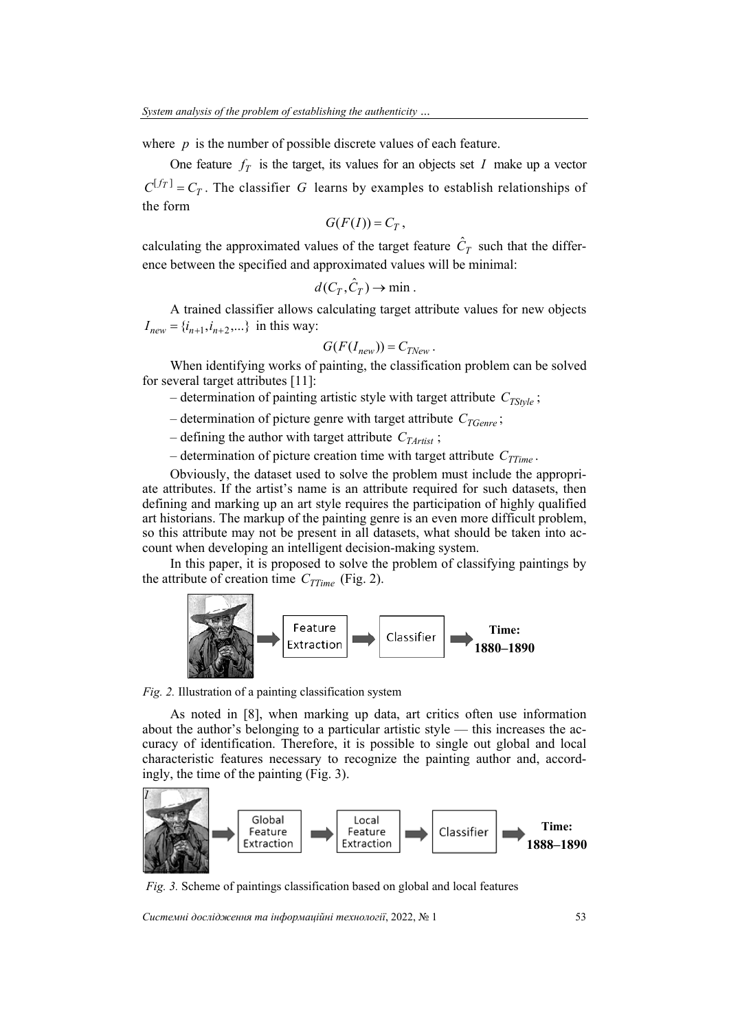where *p* is the number of possible discrete values of each feature.

One feature  $f_T$  is the target, its values for an objects set *I* make up a vector  $C^{[f_T]} = C_T$ . The classifier *G* learns by examples to establish relationships of the form

$$
G(F(I))=C_T,
$$

calculating the approximated values of the target feature  $\hat{C}_T$  such that the difference between the specified and approximated values will be minimal:

$$
d(C_T, \hat{C}_T) \to \min.
$$

A trained classifier allows calculating target attribute values for new objects  $I_{new} = \{i_{n+1}, i_{n+2}, ...\}$  in this way:

$$
G(F(I_{new}))=C_{TNew}.
$$

When identifying works of painting, the classification problem can be solved for several target attributes [11]:

 $-$  determination of painting artistic style with target attribute  $C_{T S_t v l e}$ ;

- determination of picture genre with target attribute  $C_{TGenre}$ ;
- defining the author with target attribute  $C_{TArtist}$ ;
- determination of picture creation time with target attribute  $C_{TTime}$ .

Obviously, the dataset used to solve the problem must include the appropriate attributes. If the artist's name is an attribute required for such datasets, then defining and marking up an art style requires the participation of highly qualified art historians. The markup of the painting genre is an even more difficult problem, so this attribute may not be present in all datasets, what should be taken into account when developing an intelligent decision-making system.

In this paper, it is proposed to solve the problem of classifying paintings by the attribute of creation time  $C_{TTime}$  (Fig. 2).



*Fig. 2.* Illustration of a painting classification system

As noted in [8], when marking up data, art critics often use information about the author's belonging to a particular artistic style — this increases the accuracy of identification. Therefore, it is possible to single out global and local characteristic features necessary to recognize the painting author and, accordingly, the time of the painting (Fig. 3).



*Fig. 3.* Scheme of paintings classification based on global and local features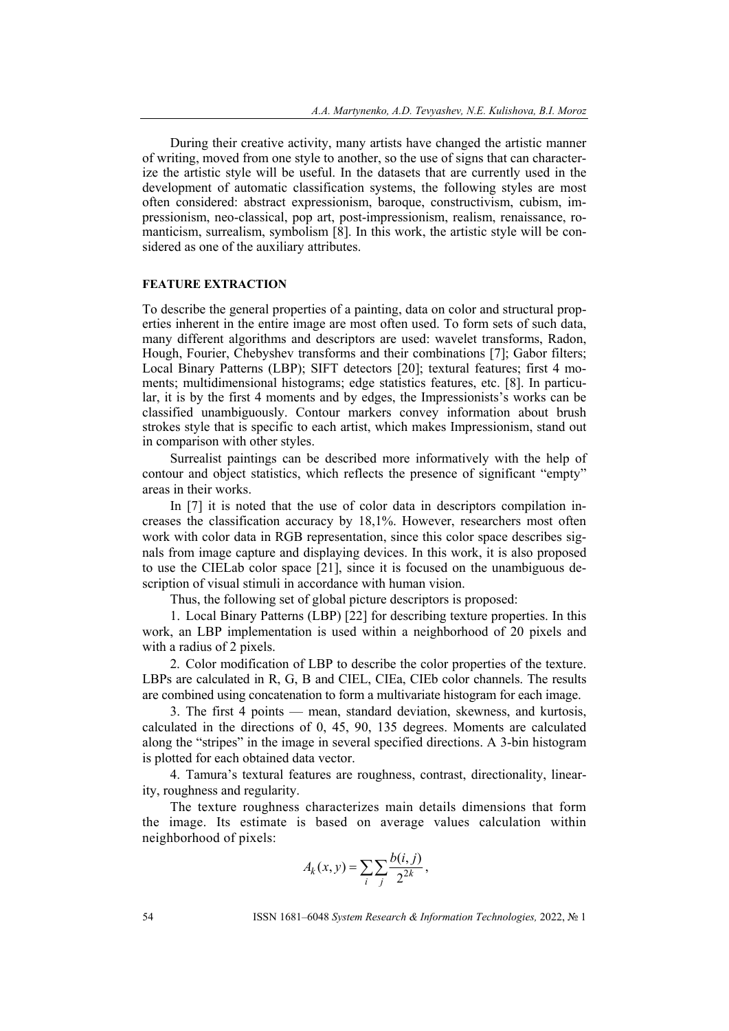During their creative activity, many artists have changed the artistic manner of writing, moved from one style to another, so the use of signs that can characterize the artistic style will be useful. In the datasets that are currently used in the development of automatic classification systems, the following styles are most often considered: abstract expressionism, baroque, constructivism, cubism, impressionism, neo-classical, pop art, post-impressionism, realism, renaissance, romanticism, surrealism, symbolism [8]. In this work, the artistic style will be considered as one of the auxiliary attributes.

#### **FEATURE EXTRACTION**

To describe the general properties of a painting, data on color and structural properties inherent in the entire image are most often used. To form sets of such data, many different algorithms and descriptors are used: wavelet transforms, Radon, Hough, Fourier, Chebyshev transforms and their combinations [7]; Gabor filters; Local Binary Patterns (LBP); SIFT detectors [20]; textural features; first 4 moments; multidimensional histograms; edge statistics features, etc. [8]. In particular, it is by the first 4 moments and by edges, the Impressionists's works can be classified unambiguously. Contour markers convey information about brush strokes style that is specific to each artist, which makes Impressionism, stand out in comparison with other styles.

Surrealist paintings can be described more informatively with the help of contour and object statistics, which reflects the presence of significant "empty" areas in their works.

In [7] it is noted that the use of color data in descriptors compilation increases the classification accuracy by 18,1%. However, researchers most often work with color data in RGB representation, since this color space describes signals from image capture and displaying devices. In this work, it is also proposed to use the CIELab color space [21], since it is focused on the unambiguous description of visual stimuli in accordance with human vision.

Thus, the following set of global picture descriptors is proposed:

1. Local Binary Patterns (LBP) [22] for describing texture properties. In this work, an LBP implementation is used within a neighborhood of 20 pixels and with a radius of 2 pixels.

2. Color modification of LBP to describe the color properties of the texture. LBPs are calculated in R, G, B and CIEL, CIEa, CIEb color channels. The results are combined using concatenation to form a multivariate histogram for each image.

3. The first 4 points — mean, standard deviation, skewness, and kurtosis, calculated in the directions of 0, 45, 90, 135 degrees. Moments are calculated along the "stripes" in the image in several specified directions. A 3-bin histogram is plotted for each obtained data vector.

4. Tamura's textural features are roughness, contrast, directionality, linearity, roughness and regularity.

The texture roughness characterizes main details dimensions that form the image. Its estimate is based on average values calculation within neighborhood of pixels:

$$
A_k(x, y) = \sum_i \sum_j \frac{b(i, j)}{2^{2k}},
$$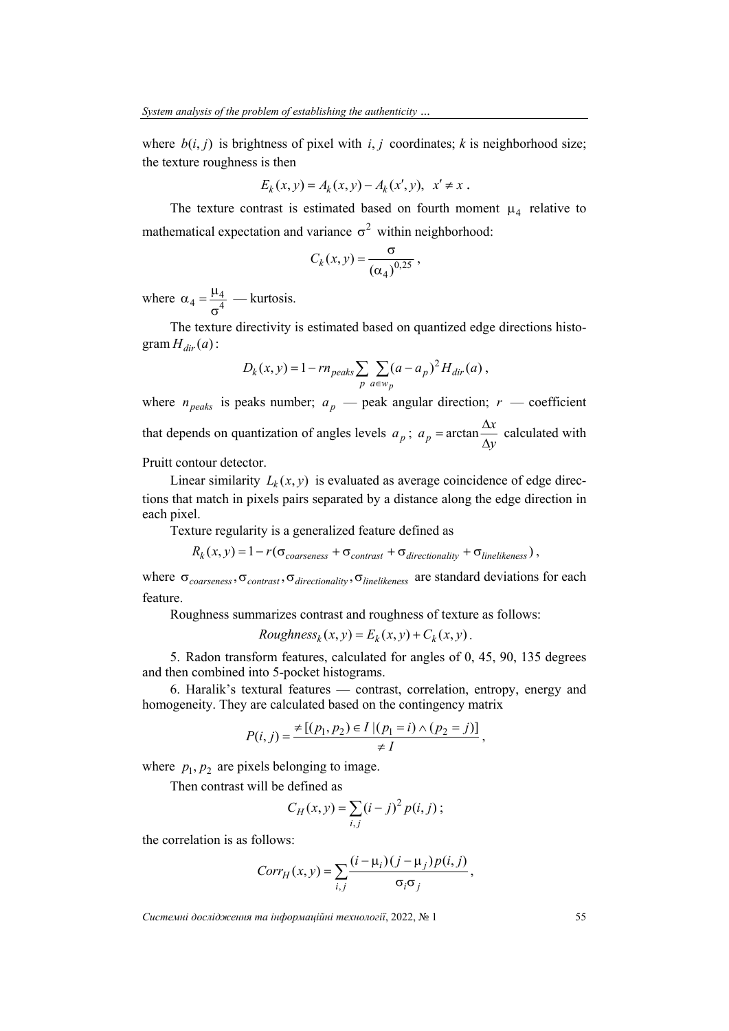where  $b(i, j)$  is brightness of pixel with  $i, j$  coordinates;  $k$  is neighborhood size; the texture roughness is then

$$
E_k(x, y) = A_k(x, y) - A_k(x', y), \ \ x' \neq x \ .
$$

The texture contrast is estimated based on fourth moment  $\mu_A$  relative to mathematical expectation and variance  $\sigma^2$  within neighborhood:

$$
C_k(x, y) = \frac{\sigma}{(\alpha_4)^{0, 25}},
$$

where  $\alpha_4 = \frac{\mu_4}{\sigma^4}$  $\alpha_4 = \frac{\mu_4}{4}$  — kurtosis.

The texture directivity is estimated based on quantized edge directions histogram  $H_{dir}(a)$  :

$$
D_k(x, y) = 1 - r n_{\text{peaks}} \sum_p \sum_{a \in w_p} (a - a_p)^2 H_{\text{dir}}(a) ,
$$

where  $n_{\text{peaks}}$  is peaks number;  $a_p$  — peak angular direction;  $r$  — coefficient that depends on quantization of angles levels  $a_p$ ;  $a_p = \arctan \frac{\Delta x}{\Delta y}$  $a_p$  = arctan  $\frac{\Delta x}{\Delta y}$  calculated with

Pruitt contour detector.

Linear similarity  $L_k(x, y)$  is evaluated as average coincidence of edge directions that match in pixels pairs separated by a distance along the edge direction in each pixel.

Texture regularity is a generalized feature defined as

 $R_k(x, y) = 1 - r(\sigma_{coarseness} + \sigma_{contrast} + \sigma_{directionality} + \sigma_{linelikeness}),$ 

where  $\sigma_{coarseness}$ ,  $\sigma_{contrast}$ ,  $\sigma_{directionality}$ ,  $\sigma_{linelikeness}$  are standard deviations for each feature.

Roughness summarizes contrast and roughness of texture as follows:

Roughness<sub>k</sub>
$$
(x, y) = E_k(x, y) + C_k(x, y)
$$
.

5. Radon transform features, calculated for angles of 0, 45, 90, 135 degrees and then combined into 5-pocket histograms.

6. Haralik's textural features — contrast, correlation, entropy, energy and homogeneity. They are calculated based on the contingency matrix

$$
P(i, j) = \frac{\neq [(p_1, p_2) \in I | (p_1 = i) \land (p_2 = j)]}{\neq I},
$$

where  $p_1, p_2$  are pixels belonging to image.

Then contrast will be defined as

$$
C_H(x, y) = \sum_{i,j} (i - j)^2 p(i, j);
$$

the correlation is as follows:

$$
Corr_H(x, y) = \sum_{i,j} \frac{(i - \mu_i)(j - \mu_j)p(i, j)}{\sigma_i \sigma_j},
$$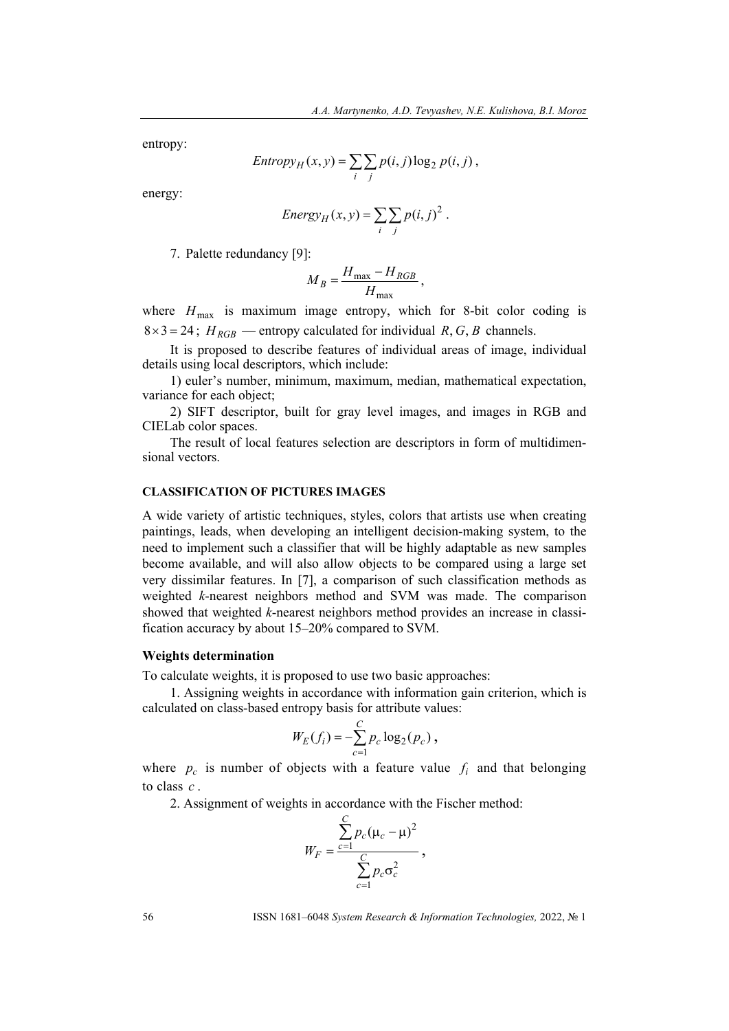entropy:

$$
Entropy_H(x, y) = \sum_{i} \sum_{j} p(i, j) \log_2 p(i, j),
$$

energy:

Energy<sub>H</sub>
$$
(x, y) = \sum_i \sum_j p(i, j)^2
$$
.

7. Palette redundancy [9]:

$$
M_B = \frac{H_{\text{max}} - H_{RGB}}{H_{\text{max}}},
$$

where  $H_{\text{max}}$  is maximum image entropy, which for 8-bit color coding is  $8 \times 3 = 24$ ;  $H_{RGB}$  — entropy calculated for individual *R*, *G*, *B* channels.

It is proposed to describe features of individual areas of image, individual details using local descriptors, which include:

1) euler's number, minimum, maximum, median, mathematical expectation, variance for each object;

2) SIFT descriptor, built for gray level images, and images in RGB and CIELab color spaces.

The result of local features selection are descriptors in form of multidimensional vectors.

### **CLASSIFICATION OF PICTURES IMAGES**

A wide variety of artistic techniques, styles, colors that artists use when creating paintings, leads, when developing an intelligent decision-making system, to the need to implement such a classifier that will be highly adaptable as new samples become available, and will also allow objects to be compared using a large set very dissimilar features. In [7], a comparison of such classification methods as weighted *k*-nearest neighbors method and SVM was made. The comparison showed that weighted *k*-nearest neighbors method provides an increase in classification accuracy by about 15–20% compared to SVM.

#### **Weights determination**

To calculate weights, it is proposed to use two basic approaches:

1. Assigning weights in accordance with information gain criterion, which is calculated on class-based entropy basis for attribute values:

$$
W_E(f_i) = -\sum_{c=1}^C p_c \log_2(p_c),
$$

where  $p_c$  is number of objects with a feature value  $f_i$  and that belonging to class *c* .

2. Assignment of weights in accordance with the Fischer method:

$$
W_F = \frac{\sum_{c=1}^{C} p_c (\mu_c - \mu)^2}{\sum_{c=1}^{C} p_c \sigma_c^2},
$$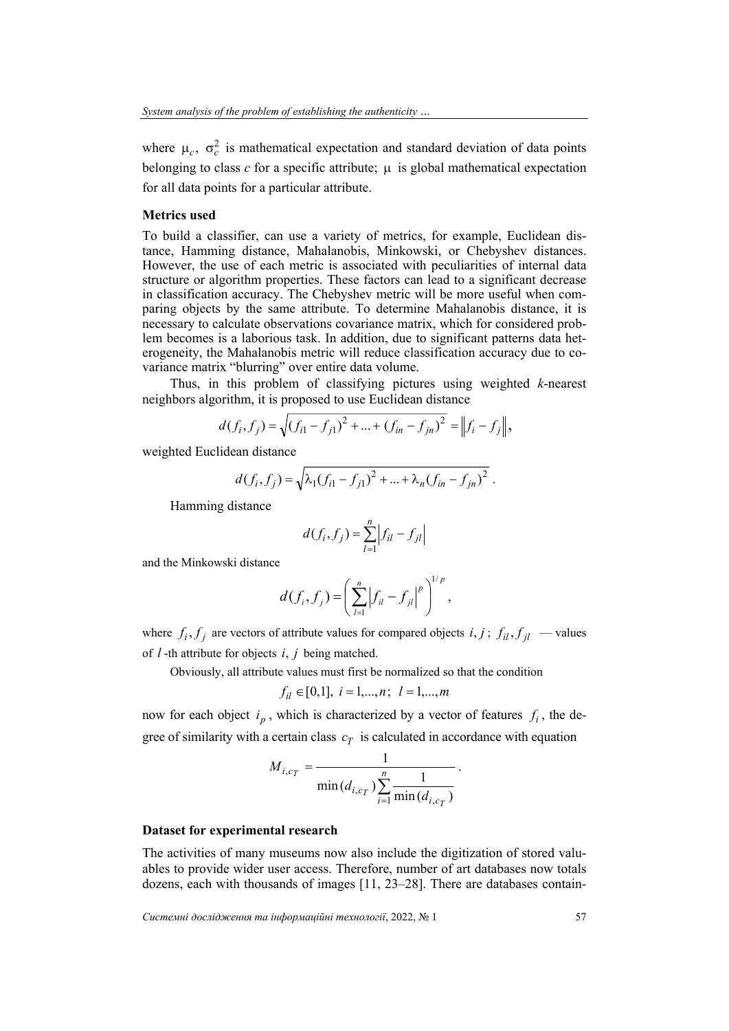where  $\mu_c$ ,  $\sigma_c^2$  is mathematical expectation and standard deviation of data points belonging to class  $c$  for a specific attribute;  $\mu$  is global mathematical expectation for all data points for a particular attribute.

#### **Metrics used**

To build a classifier, can use a variety of metrics, for example, Euclidean distance, Hamming distance, Mahalanobis, Minkowski, or Chebyshev distances. However, the use of each metric is associated with peculiarities of internal data structure or algorithm properties. These factors can lead to a significant decrease in classification accuracy. The Chebyshev metric will be more useful when comparing objects by the same attribute. To determine Mahalanobis distance, it is necessary to calculate observations covariance matrix, which for considered problem becomes is a laborious task. In addition, due to significant patterns data heterogeneity, the Mahalanobis metric will reduce classification accuracy due to covariance matrix "blurring" over entire data volume.

Thus, in this problem of classifying pictures using weighted *k*-nearest neighbors algorithm, it is proposed to use Euclidean distance

$$
d(f_i, f_j) = \sqrt{(f_{i1} - f_{j1})^2 + ... + (f_{in} - f_{jn})^2} = ||f_i - f_j||,
$$

weighted Euclidean distance

$$
d(f_i, f_j) = \sqrt{\lambda_1 (f_{i1} - f_{j1})^2 + \dots + \lambda_n (f_{in} - f_{jn})^2}.
$$

Hamming distance

$$
d(f_i, f_j) = \sum_{l=1}^{n} |f_{il} - f_{jl}|
$$

and the Minkowski distance

$$
d(f_i, f_j) = \left(\sum_{l=1}^n |f_{il} - f_{jl}|^p\right)^{1/p},
$$

where  $f_i, f_j$  are vectors of attribute values for compared objects  $i, j$ ;  $f_{il}, f_{jl}$  — values of *l* -th attribute for objects *i*, *j* being matched.

Obviously, all attribute values must first be normalized so that the condition

$$
f_{il} \in [0,1], i = 1,...,n; l = 1,...,m
$$

now for each object  $i_n$ , which is characterized by a vector of features  $f_i$ , the degree of similarity with a certain class  $c_T$  is calculated in accordance with equation

$$
M_{i,c_T} = \frac{1}{\min(d_{i,c_T}) \sum_{i=1}^{n} \frac{1}{\min(d_{i,c_T})}}.
$$

## **Dataset for experimental research**

The activities of many museums now also include the digitization of stored valuables to provide wider user access. Therefore, number of art databases now totals dozens, each with thousands of images [11, 23–28]. There are databases contain-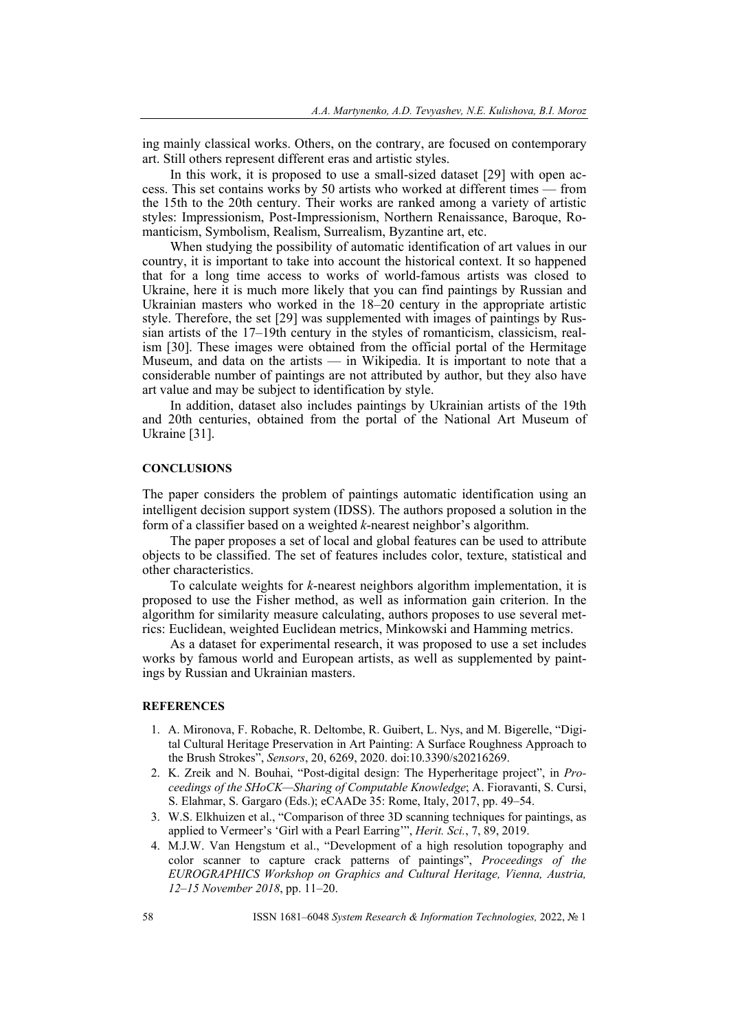ing mainly classical works. Others, on the contrary, are focused on contemporary art. Still others represent different eras and artistic styles.

In this work, it is proposed to use a small-sized dataset [29] with open access. This set contains works by 50 artists who worked at different times — from the 15th to the 20th century. Their works are ranked among a variety of artistic styles: Impressionism, Post-Impressionism, Northern Renaissance, Baroque, Romanticism, Symbolism, Realism, Surrealism, Byzantine art, etc.

When studying the possibility of automatic identification of art values in our country, it is important to take into account the historical context. It so happened that for a long time access to works of world-famous artists was closed to Ukraine, here it is much more likely that you can find paintings by Russian and Ukrainian masters who worked in the 18–20 century in the appropriate artistic style. Therefore, the set [29] was supplemented with images of paintings by Russian artists of the 17–19th century in the styles of romanticism, classicism, realism [30]. These images were obtained from the official portal of the Hermitage Museum, and data on the artists — in Wikipedia. It is important to note that a considerable number of paintings are not attributed by author, but they also have art value and may be subject to identification by style.

In addition, dataset also includes paintings by Ukrainian artists of the 19th and 20th centuries, obtained from the portal of the National Art Museum of Ukraine [31].

#### **CONCLUSIONS**

The paper considers the problem of paintings automatic identification using an intelligent decision support system (IDSS). The authors proposed a solution in the form of a classifier based on a weighted *k*-nearest neighbor's algorithm.

The paper proposes a set of local and global features can be used to attribute objects to be classified. The set of features includes color, texture, statistical and other characteristics.

To calculate weights for *k*-nearest neighbors algorithm implementation, it is proposed to use the Fisher method, as well as information gain criterion. In the algorithm for similarity measure calculating, authors proposes to use several metrics: Euclidean, weighted Euclidean metrics, Minkowski and Hamming metrics.

As a dataset for experimental research, it was proposed to use a set includes works by famous world and European artists, as well as supplemented by paintings by Russian and Ukrainian masters.

### **REFERENCES**

- 1. А. Mironova, F. Robache, R. Deltombe, R. Guibert, L. Nys, and M. Bigerelle, "Digital Cultural Heritage Preservation in Art Painting: A Surface Roughness Approach to the Brush Strokes", *Sensors*, 20, 6269, 2020. doi:10.3390/s20216269.
- 2. K. Zreik and N. Bouhai, "Post-digital design: The Hyperheritage project", in *Proceedings of the SHoCK—Sharing of Computable Knowledge*; A. Fioravanti, S. Cursi, S. Elahmar, S. Gargaro (Eds.); eCAADe 35: Rome, Italy, 2017, pp. 49–54.
- 3. W.S. Elkhuizen et al., "Comparison of three 3D scanning techniques for paintings, as applied to Vermeer's 'Girl with a Pearl Earring'", *Herit. Sci.*, 7, 89, 2019.
- 4. M.J.W. Van Hengstum et al., "Development of a high resolution topography and color scanner to capture crack patterns of paintings", *Proceedings of the EUROGRAPHICS Workshop on Graphics and Cultural Heritage, Vienna, Austria, 12–15 November 2018*, pp. 11–20.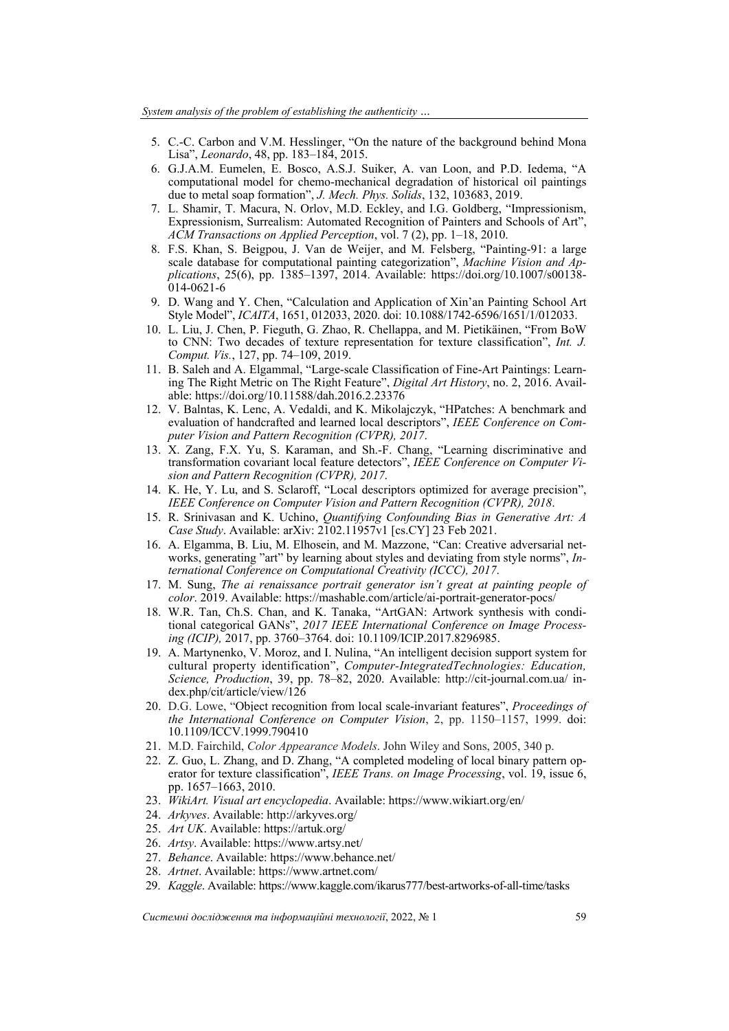- 5. C.-C. Carbon and V.M. Hesslinger, "On the nature of the background behind Mona Lisa", *Leonardo*, 48, pp. 183–184, 2015.
- 6. G.J.A.M. Eumelen, E. Bosco, A.S.J. Suiker, A. van Loon, and P.D. Iedema, "A computational model for chemo-mechanical degradation of historical oil paintings due to metal soap formation", *J. Mech. Phys. Solids*, 132, 103683, 2019.
- 7. L. Shamir, T. Macura, N. Orlov, M.D. Eckley, and I.G. Goldberg, "Impressionism, Expressionism, Surrealism: Automated Recognition of Painters and Schools of Art", *ACM Transactions on Applied Perception*, vol. 7 (2), pp. 1–18, 2010.
- 8. F.S. Khan, S. Beigpou, J. Van de Weijer, and M. Felsberg, "Painting-91: a large scale database for computational painting categorization", *Machine Vision and Applications*, 25(6), pp. 1385–1397, 2014. Available: https://doi.org/10.1007/s00138- 014-0621-6
- 9. D. Wang and Y. Chen, "Calculation and Application of Xin'an Painting School Art Style Model", *ICAITA*, 1651, 012033, 2020. doi: 10.1088/1742-6596/1651/1/012033.
- 10. L. Liu, J. Chen, P. Fieguth, G. Zhao, R. Chellappa, and M. Pietikäinen, "From BoW to CNN: Two decades of texture representation for texture classification", *Int. J. Comput. Vis.*, 127, pp. 74–109, 2019.
- 11. B. Saleh and A. Elgammal, "Large-scale Classification of Fine-Art Paintings: Learning The Right Metric on The Right Feature", *Digital Art History*, no. 2, 2016. Available: https://doi.org/10.11588/dah.2016.2.23376
- 12. V. Balntas, K. Lenc, A. Vedaldi, and K. Mikolajczyk, "HPatches: A benchmark and evaluation of handcrafted and learned local descriptors", *IEEE Conference on Computer Vision and Pattern Recognition (CVPR), 2017*.
- 13. X. Zang, F.X. Yu, S. Karaman, and Sh.-F. Chang, "Learning discriminative and transformation covariant local feature detectors", *IEEE Conference on Computer Vision and Pattern Recognition (CVPR), 2017*.
- 14. K. He, Y. Lu, and S. Sclaroff, "Local descriptors optimized for average precision", *IEEE Conference on Computer Vision and Pattern Recognition (CVPR), 2018*.
- 15. R. Srinivasan and K. Uchino, *Quantifying Confounding Bias in Generative Art: A Case Study*. Available: arXiv: 2102.11957v1 [cs.CY] 23 Feb 2021.
- 16. A. Elgamma, B. Liu, M. Elhosein, and M. Mazzone, "Can: Creative adversarial networks, generating "art" by learning about styles and deviating from style norms", *International Conference on Computational Creativity (ICCC), 2017*.
- 17. M. Sung, *The ai renaissance portrait generator isn't great at painting people of color*. 2019. Available: https://mashable.com/article/ai-portrait-generator-pocs/
- 18. W.R. Tan, Ch.S. Chan, and K. Tanaka, "ArtGAN: Artwork synthesis with conditional categorical GANs", *2017 IEEE International Conference on Image Processing (ICIP),* 2017, pp. 3760–3764. doi: 10.1109/ICIP.2017.8296985.
- 19. A. Martynenko, V. Moroz, and I. Nulina, "An intelligent decision support system for cultural property identification", *Computer-IntegratedTechnologies: Education, Science, Production*, 39, pp. 78–82, 2020. Available: http://cit-journal.com.ua/ index.php/cit/article/view/126
- 20. D.G. Lowe, "Object recognition from local scale-invariant features", *Proceedings of the International Conference on Computer Vision*, 2, pp. 1150–1157, 1999. doi: 10.1109/ICCV.1999.790410
- 21. M.D. Fairchild, *Color Appearance Models*. John Wiley and Sons, 2005, 340 р.
- 22. Z. Guo, L. Zhang, and D. Zhang, "A completed modeling of local binary pattern operator for texture classification", *IEEE Trans. on Image Processing*, vol. 19, issue 6, pp. 1657–1663, 2010.
- 23. *WikiArt. Visual art encyclopedia*. Available: https://www.wikiart.org/en/
- 24. *Arkyves*. Available: http://arkyves.org/
- 25. *Art UK*. Available: https://artuk.org/
- 26. *Artsy*. Available: https://www.artsy.net/
- 27. *Behance*. Available: https://www.behance.net/
- 28. *Artnet*. Available: https://www.artnet.com/
- 29. *Kaggle*. Available: https://www.kaggle.com/ikarus777/best-artworks-of-all-time/tasks